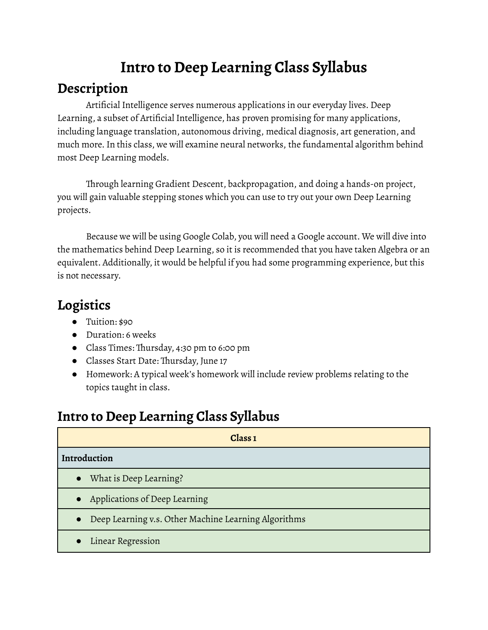## **Intro to Deep Learning Class Syllabus**

## **Description**

Artificial Intelligence serves numerous applications in our everyday lives. Deep Learning, a subset of Artificial Intelligence, has proven promising for many applications, including language translation, autonomous driving, medical diagnosis, art generation, and much more.In this class, we will examine neural networks, the fundamental algorithm behind most Deep Learning models.

Through learning Gradient Descent, backpropagation, and doing a hands-on project, you will gain valuable stepping stones which you can use to try out your own Deep Learning projects.

Because we will be using Google Colab, you will need a Google account. We will dive into the mathematics behind Deep Learning, so it is recommended that you have taken Algebra or an equivalent. Additionally, it would be helpful if you had some programming experience, but this is not necessary.

## **Logistics**

- Tuition: \$90
- Duration: 6 weeks
- Class Times: Thursday, 4:30 pm to 6:00 pm
- Classes Start Date: Thursday, June 17
- Homework: A typical week's homework will include review problems relating to the topics taught in class.

## **Intro to Deep Learning Class Syllabus**

| Class <sub>1</sub> |                                                      |
|--------------------|------------------------------------------------------|
| Introduction       |                                                      |
| $\bullet$          | What is Deep Learning?                               |
| $\bullet$          | Applications of Deep Learning                        |
| $\bullet$          | Deep Learning v.s. Other Machine Learning Algorithms |
|                    | Linear Regression                                    |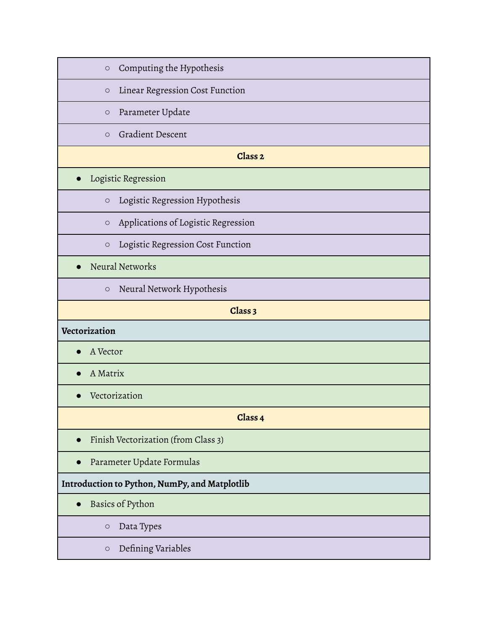| Computing the Hypothesis<br>$\bigcirc$                     |
|------------------------------------------------------------|
| Linear Regression Cost Function<br>$\circ$                 |
| Parameter Update<br>$\circ$                                |
| Gradient Descent<br>$\circ$                                |
| Class <sub>2</sub>                                         |
| Logistic Regression                                        |
| Logistic Regression Hypothesis<br>$\circ$                  |
| Applications of Logistic Regression<br>$\circlearrowright$ |
| Logistic Regression Cost Function<br>$\bigcirc$            |
| Neural Networks                                            |
| Neural Network Hypothesis<br>$\circlearrowright$           |
| Class 3                                                    |
|                                                            |
| Vectorization                                              |
| A Vector                                                   |
| A Matrix                                                   |
| Vectorization                                              |
| Class <sub>4</sub>                                         |
| Finish Vectorization (from Class 3)                        |
| Parameter Update Formulas                                  |
| Introduction to Python, NumPy, and Matplotlib              |
| Basics of Python                                           |
| Data Types<br>$\bigcirc$                                   |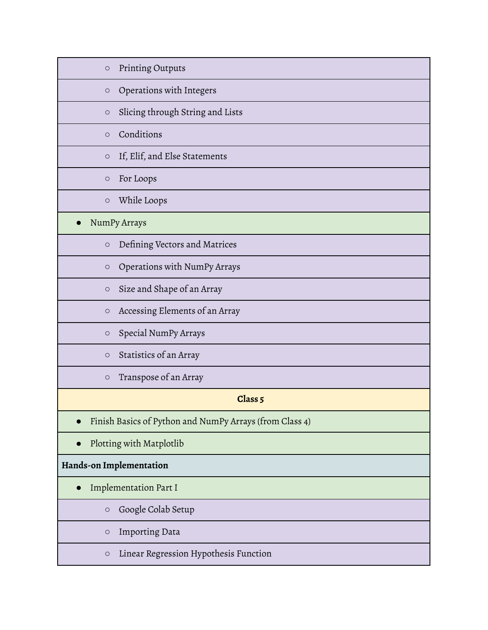| $\bigcirc$          | Printing Outputs                                        |
|---------------------|---------------------------------------------------------|
| $\circ$             | Operations with Integers                                |
| $\bigcirc$          | Slicing through String and Lists                        |
| $\circ$             | Conditions                                              |
| $\circ$             | If, Elif, and Else Statements                           |
| $\circ$             | For Loops                                               |
| $\circ$             | While Loops                                             |
|                     | NumPy Arrays                                            |
| $\circlearrowright$ | Defining Vectors and Matrices                           |
| $\circ$             | Operations with NumPy Arrays                            |
| $\bigcirc$          | Size and Shape of an Array                              |
| $\circlearrowright$ | Accessing Elements of an Array                          |
| $\circ$             | Special NumPy Arrays                                    |
| $\circ$             | Statistics of an Array                                  |
| $\circlearrowright$ | Transpose of an Array                                   |
|                     | Class <sub>5</sub>                                      |
|                     | Finish Basics of Python and NumPy Arrays (from Class 4) |
|                     | Plotting with Matplotlib                                |
|                     | Hands-on Implementation                                 |
| $\bullet$           | <b>Implementation Part I</b>                            |
| $\circ$             | Google Colab Setup                                      |
| $\circ$             | Importing Data                                          |
| $\circ$             | Linear Regression Hypothesis Function                   |